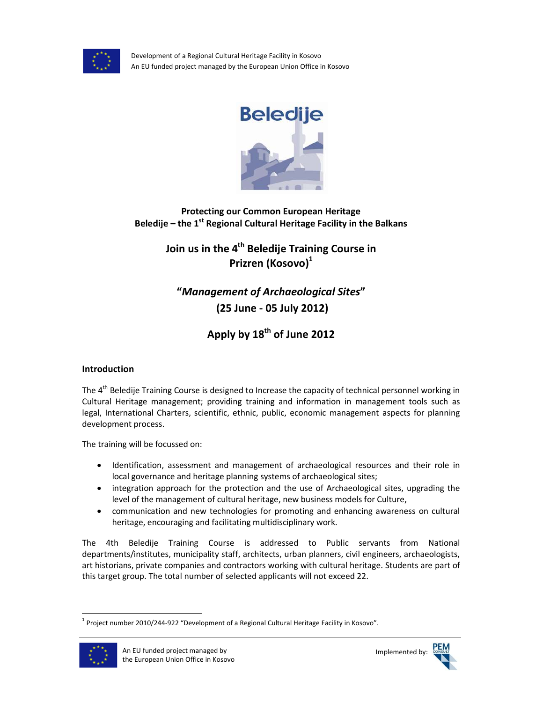

Development of a Regional Cultural Heritage Facility in Kosovo An EU funded project managed by the European Union Office in Kosovo



**Protecting our Common European Heritage Beledije – the 1st Regional Cultural Heritage Facility in the Balkans**

> **Join us in the 4th Beledije Training Course in Prizren (Kosovo)<sup>1</sup>**

**"***Management of Archaeological Sites***" (25 June - 05 July 2012)** 

**Apply by 18th of June 2012** 

# **Introduction**

The 4<sup>th</sup> Beledije Training Course is designed to Increase the capacity of technical personnel working in Cultural Heritage management; providing training and information in management tools such as legal, International Charters, scientific, ethnic, public, economic management aspects for planning development process.

The training will be focussed on:

- Identification, assessment and management of archaeological resources and their role in local governance and heritage planning systems of archaeological sites;
- integration approach for the protection and the use of Archaeological sites, upgrading the level of the management of cultural heritage, new business models for Culture,
- communication and new technologies for promoting and enhancing awareness on cultural heritage, encouraging and facilitating multidisciplinary work.

The 4th Beledije Training Course is addressed to Public servants from National departments/institutes, municipality staff, architects, urban planners, civil engineers, archaeologists, art historians, private companies and contractors working with cultural heritage. Students are part of this target group. The total number of selected applicants will not exceed 22.

 $^1$  Project number 2010/244-922 "Development of a Regional Cultural Heritage Facility in Kosovo".



l

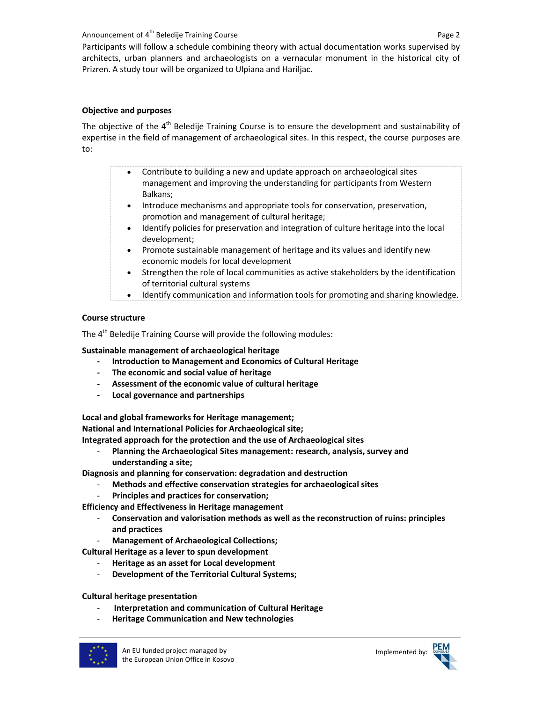Participants will follow a schedule combining theory with actual documentation works supervised by architects, urban planners and archaeologists on a vernacular monument in the historical city of Prizren. A study tour will be organized to Ulpiana and Hariljac.

## **Objective and purposes**

The objective of the 4<sup>th</sup> Beledije Training Course is to ensure the development and sustainability of expertise in the field of management of archaeological sites. In this respect, the course purposes are to:

- Contribute to building a new and update approach on archaeological sites management and improving the understanding for participants from Western Balkans;
- Introduce mechanisms and appropriate tools for conservation, preservation, promotion and management of cultural heritage;
- Identify policies for preservation and integration of culture heritage into the local development;
- Promote sustainable management of heritage and its values and identify new economic models for local development
- Strengthen the role of local communities as active stakeholders by the identification of territorial cultural systems
- Identify communication and information tools for promoting and sharing knowledge.

## **Course structure**

The 4<sup>th</sup> Beledije Training Course will provide the following modules:

**Sustainable management of archaeological heritage** 

- **- Introduction to Management and Economics of Cultural Heritage**
- **- The economic and social value of heritage**
- **- Assessment of the economic value of cultural heritage**
- **- Local governance and partnerships**

**Local and global frameworks for Heritage management;** 

**National and International Policies for Archaeological site;** 

**Integrated approach for the protection and the use of Archaeological sites** 

- **Planning the Archaeological Sites management: research, analysis, survey and understanding a site;** 

**Diagnosis and planning for conservation: degradation and destruction** 

- **Methods and effective conservation strategies for archaeological sites**
- **Principles and practices for conservation;**

**Efficiency and Effectiveness in Heritage management**

- **Conservation and valorisation methods as well as the reconstruction of ruins: principles and practices**
- **Management of Archaeological Collections;**
- **Cultural Heritage as a lever to spun development** 
	- **Heritage as an asset for Local development**
	- **Development of the Territorial Cultural Systems;**

### **Cultural heritage presentation**

- - **Interpretation and communication of Cultural Heritage**
- **Heritage Communication and New technologies**



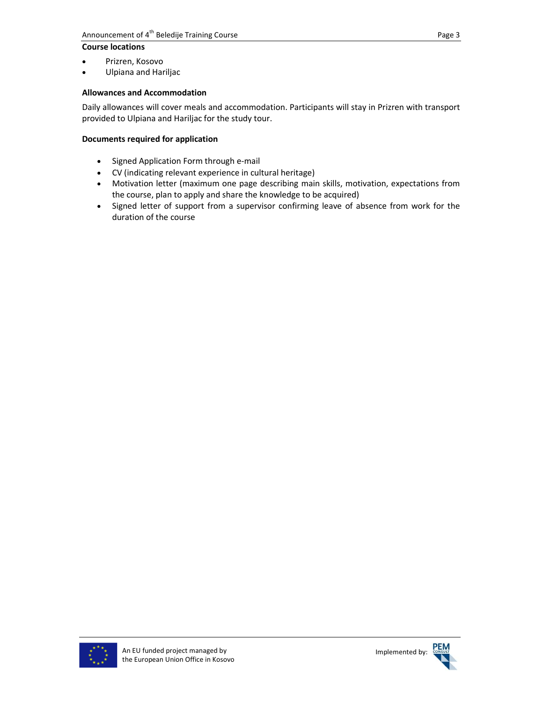## **Course locations**

- Prizren, Kosovo
- Ulpiana and Hariljac

## **Allowances and Accommodation**

Daily allowances will cover meals and accommodation. Participants will stay in Prizren with transport provided to Ulpiana and Hariljac for the study tour.

## **Documents required for application**

- Signed Application Form through e-mail
- CV (indicating relevant experience in cultural heritage)
- Motivation letter (maximum one page describing main skills, motivation, expectations from the course, plan to apply and share the knowledge to be acquired)
- Signed letter of support from a supervisor confirming leave of absence from work for the duration of the course